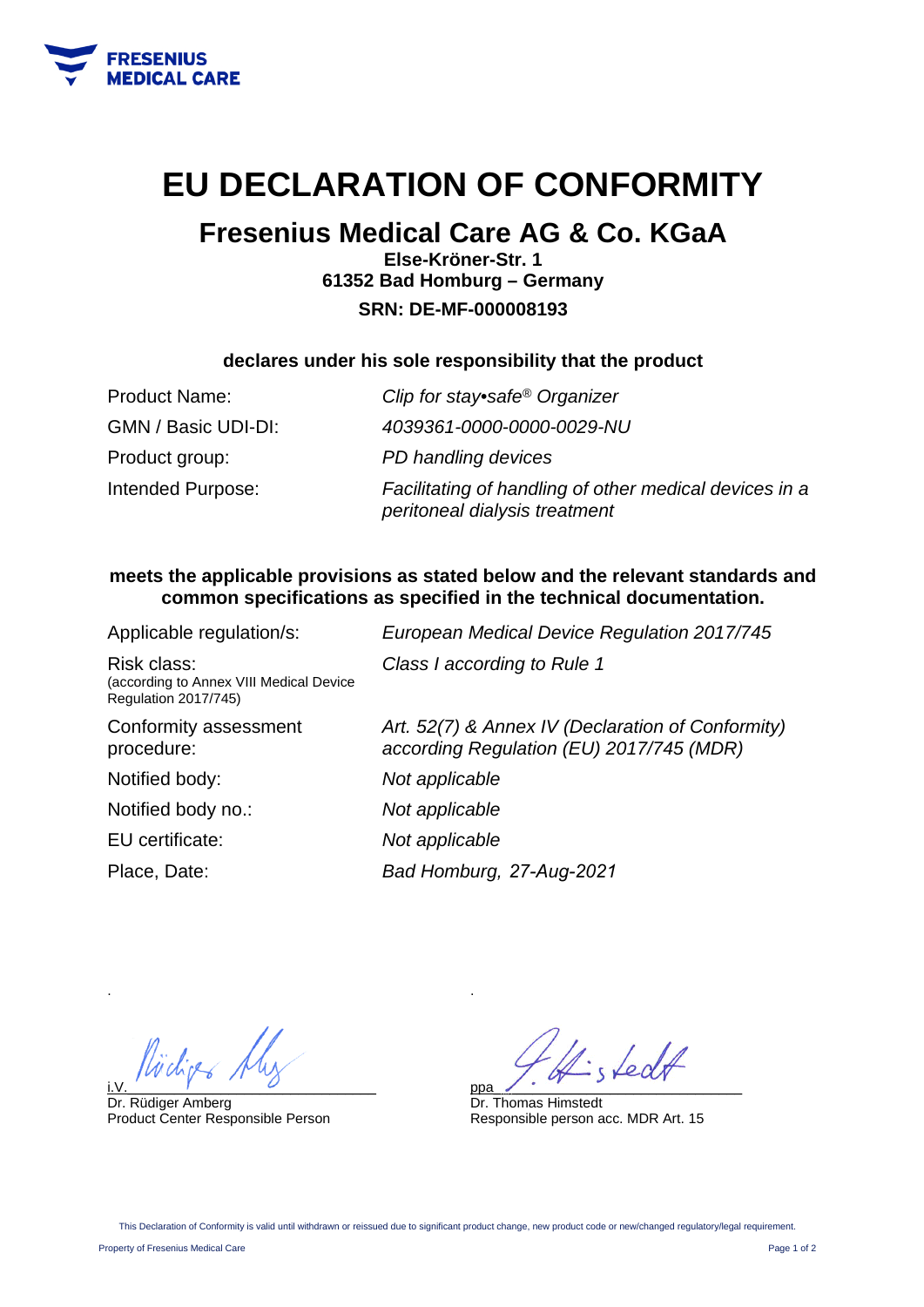

# **EU DECLARATION OF CONFORMITY**

## **Fresenius Medical Care AG & Co. KGaA**

**Else-Kröner-Str. 1 61352 Bad Homburg – Germany SRN: DE-MF-000008193** 

### **declares under his sole responsibility that the product**

| <b>Product Name:</b> | Clip for stay•safe® Organizer                                                           |
|----------------------|-----------------------------------------------------------------------------------------|
| GMN / Basic UDI-DI:  | 4039361-0000-0000-0029-NU                                                               |
| Product group:       | PD handling devices                                                                     |
| Intended Purpose:    | Facilitating of handling of other medical devices in a<br>peritoneal dialysis treatment |

### **meets the applicable provisions as stated below and the relevant standards and common specifications as specified in the technical documentation.**

| Applicable regulation/s:                                                       | European Medical Device Regulation 2017/745                                                   |
|--------------------------------------------------------------------------------|-----------------------------------------------------------------------------------------------|
| Risk class:<br>(according to Annex VIII Medical Device<br>Regulation 2017/745) | Class I according to Rule 1                                                                   |
| Conformity assessment<br>procedure:                                            | Art. 52(7) & Annex IV (Declaration of Conformity)<br>according Regulation (EU) 2017/745 (MDR) |
| Notified body:                                                                 | Not applicable                                                                                |
| Notified body no.:                                                             | Not applicable                                                                                |
| EU certificate:                                                                | Not applicable                                                                                |
| Place, Date:                                                                   | Bad Homburg, 27-Aug-2021                                                                      |
|                                                                                |                                                                                               |

i.V.  $\overline{y}$  and  $\overline{y}$  and  $\overline{y}$  and  $\overline{y}$  and  $\overline{y}$  and  $\overline{y}$  and  $\overline{y}$  and  $\overline{y}$  and  $\overline{y}$  and  $\overline{y}$  and  $\overline{y}$  and  $\overline{y}$  and  $\overline{y}$  and  $\overline{y}$  and  $\overline{y}$  and  $\overline{y}$  and  $\overline{y}$ 

Dr. Rüdiger Amberg Product Center Responsible Person

fedt ppa\_\_\_\_\_\_\_\_\_\_\_\_\_\_\_\_\_\_\_\_\_\_\_\_\_\_\_\_\_\_\_\_

Dr. Thomas Himstedt Responsible person acc. MDR Art. 15

.

.